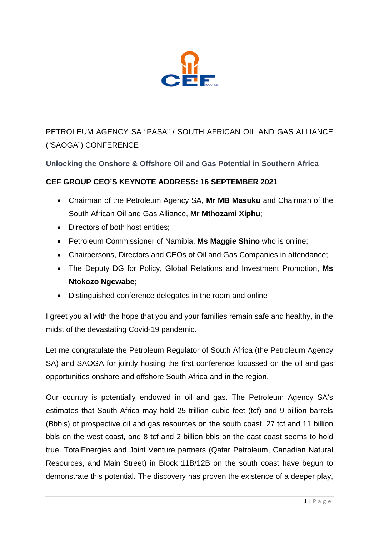

PETROLEUM AGENCY SA "PASA" / SOUTH AFRICAN OIL AND GAS ALLIANCE ("SAOGA") CONFERENCE

## **Unlocking the Onshore & Offshore Oil and Gas Potential in Southern Africa**

## **CEF GROUP CEO'S KEYNOTE ADDRESS: 16 SEPTEMBER 2021**

- Chairman of the Petroleum Agency SA, **Mr MB Masuku** and Chairman of the South African Oil and Gas Alliance, **Mr Mthozami Xiphu**;
- Directors of both host entities:
- Petroleum Commissioner of Namibia, **Ms Maggie Shino** who is online;
- Chairpersons, Directors and CEOs of Oil and Gas Companies in attendance;
- The Deputy DG for Policy, Global Relations and Investment Promotion, **Ms Ntokozo Ngcwabe;**
- Distinguished conference delegates in the room and online

I greet you all with the hope that you and your families remain safe and healthy, in the midst of the devastating Covid-19 pandemic.

Let me congratulate the Petroleum Regulator of South Africa (the Petroleum Agency SA) and SAOGA for jointly hosting the first conference focussed on the oil and gas opportunities onshore and offshore South Africa and in the region.

Our country is potentially endowed in oil and gas. The Petroleum Agency SA's estimates that South Africa may hold 25 trillion cubic feet (tcf) and 9 billion barrels (Bbbls) of prospective oil and gas resources on the south coast, 27 tcf and 11 billion bbls on the west coast, and 8 tcf and 2 billion bbls on the east coast seems to hold true. TotalEnergies and Joint Venture partners (Qatar Petroleum, Canadian Natural Resources, and Main Street) in Block 11B/12B on the south coast have begun to demonstrate this potential. The discovery has proven the existence of a deeper play,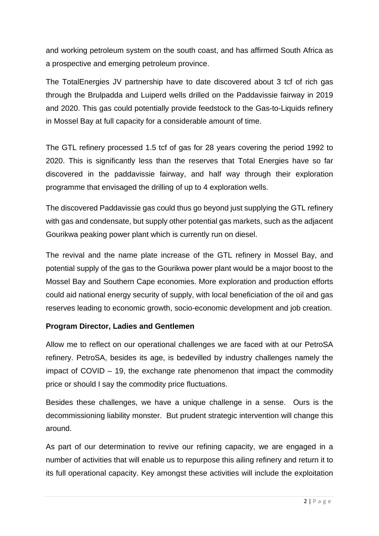and working petroleum system on the south coast, and has affirmed South Africa as a prospective and emerging petroleum province.

The TotalEnergies JV partnership have to date discovered about 3 tcf of rich gas through the Brulpadda and Luiperd wells drilled on the Paddavissie fairway in 2019 and 2020. This gas could potentially provide feedstock to the Gas-to-Liquids refinery in Mossel Bay at full capacity for a considerable amount of time.

The GTL refinery processed 1.5 tcf of gas for 28 years covering the period 1992 to 2020. This is significantly less than the reserves that Total Energies have so far discovered in the paddavissie fairway, and half way through their exploration programme that envisaged the drilling of up to 4 exploration wells.

The discovered Paddavissie gas could thus go beyond just supplying the GTL refinery with gas and condensate, but supply other potential gas markets, such as the adjacent Gourikwa peaking power plant which is currently run on diesel.

The revival and the name plate increase of the GTL refinery in Mossel Bay, and potential supply of the gas to the Gourikwa power plant would be a major boost to the Mossel Bay and Southern Cape economies. More exploration and production efforts could aid national energy security of supply, with local beneficiation of the oil and gas reserves leading to economic growth, socio-economic development and job creation.

## **Program Director, Ladies and Gentlemen**

Allow me to reflect on our operational challenges we are faced with at our PetroSA refinery. PetroSA, besides its age, is bedevilled by industry challenges namely the impact of COVID – 19, the exchange rate phenomenon that impact the commodity price or should I say the commodity price fluctuations.

Besides these challenges, we have a unique challenge in a sense. Ours is the decommissioning liability monster. But prudent strategic intervention will change this around.

As part of our determination to revive our refining capacity, we are engaged in a number of activities that will enable us to repurpose this ailing refinery and return it to its full operational capacity. Key amongst these activities will include the exploitation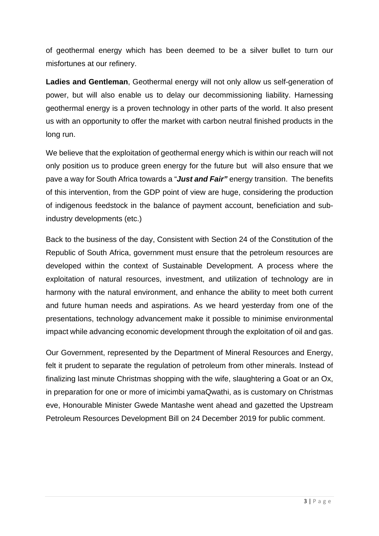of geothermal energy which has been deemed to be a silver bullet to turn our misfortunes at our refinery.

**Ladies and Gentleman**, Geothermal energy will not only allow us self-generation of power, but will also enable us to delay our decommissioning liability. Harnessing geothermal energy is a proven technology in other parts of the world. It also present us with an opportunity to offer the market with carbon neutral finished products in the long run.

We believe that the exploitation of geothermal energy which is within our reach will not only position us to produce green energy for the future but will also ensure that we pave a way for South Africa towards a "*Just and Fair"* energy transition. The benefits of this intervention, from the GDP point of view are huge, considering the production of indigenous feedstock in the balance of payment account, beneficiation and subindustry developments (etc.)

Back to the business of the day, Consistent with Section 24 of the Constitution of the Republic of South Africa, government must ensure that the petroleum resources are developed within the context of Sustainable Development. A process where the exploitation of natural resources, investment, and utilization of technology are in harmony with the natural environment, and enhance the ability to meet both current and future human needs and aspirations. As we heard yesterday from one of the presentations, technology advancement make it possible to minimise environmental impact while advancing economic development through the exploitation of oil and gas.

Our Government, represented by the Department of Mineral Resources and Energy, felt it prudent to separate the regulation of petroleum from other minerals. Instead of finalizing last minute Christmas shopping with the wife, slaughtering a Goat or an Ox, in preparation for one or more of imicimbi yamaQwathi, as is customary on Christmas eve, Honourable Minister Gwede Mantashe went ahead and gazetted the Upstream Petroleum Resources Development Bill on 24 December 2019 for public comment.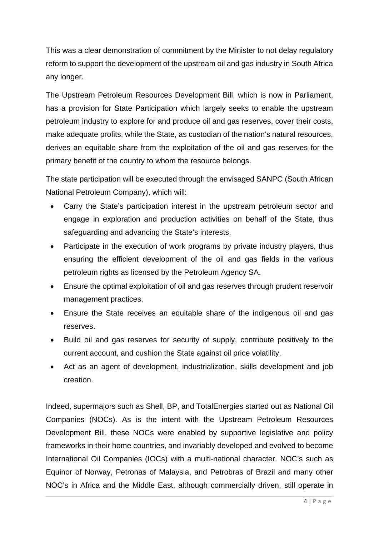This was a clear demonstration of commitment by the Minister to not delay regulatory reform to support the development of the upstream oil and gas industry in South Africa any longer.

The Upstream Petroleum Resources Development Bill, which is now in Parliament, has a provision for State Participation which largely seeks to enable the upstream petroleum industry to explore for and produce oil and gas reserves, cover their costs, make adequate profits, while the State, as custodian of the nation's natural resources, derives an equitable share from the exploitation of the oil and gas reserves for the primary benefit of the country to whom the resource belongs.

The state participation will be executed through the envisaged SANPC (South African National Petroleum Company), which will:

- Carry the State's participation interest in the upstream petroleum sector and engage in exploration and production activities on behalf of the State, thus safeguarding and advancing the State's interests.
- Participate in the execution of work programs by private industry players, thus ensuring the efficient development of the oil and gas fields in the various petroleum rights as licensed by the Petroleum Agency SA.
- Ensure the optimal exploitation of oil and gas reserves through prudent reservoir management practices.
- Ensure the State receives an equitable share of the indigenous oil and gas reserves.
- Build oil and gas reserves for security of supply, contribute positively to the current account, and cushion the State against oil price volatility.
- Act as an agent of development, industrialization, skills development and job creation.

Indeed, supermajors such as Shell, BP, and TotalEnergies started out as National Oil Companies (NOCs). As is the intent with the Upstream Petroleum Resources Development Bill, these NOCs were enabled by supportive legislative and policy frameworks in their home countries, and invariably developed and evolved to become International Oil Companies (IOCs) with a multi-national character. NOC's such as Equinor of Norway, Petronas of Malaysia, and Petrobras of Brazil and many other NOC's in Africa and the Middle East, although commercially driven, still operate in